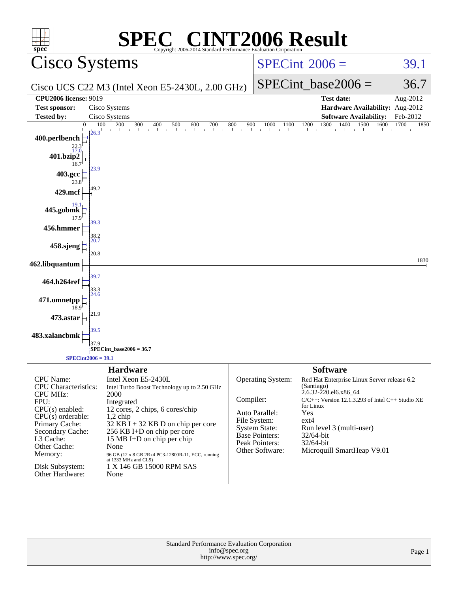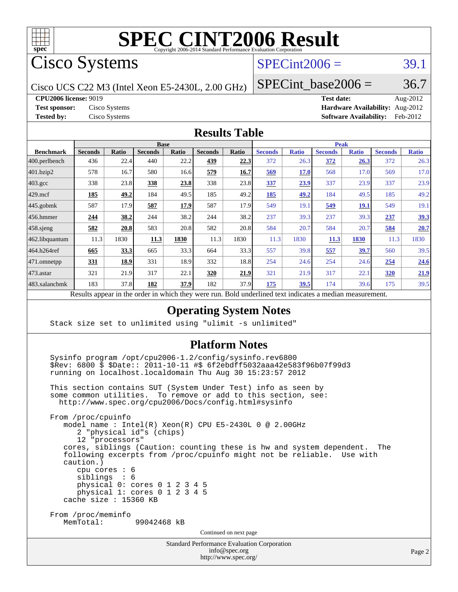

# **[SPEC CINT2006 Result](http://www.spec.org/auto/cpu2006/Docs/result-fields.html#SPECCINT2006Result)**

Cisco Systems

## $SPECint2006 = 39.1$  $SPECint2006 = 39.1$

Cisco UCS C22 M3 (Intel Xeon E5-2430L, 2.00 GHz)

SPECint base2006 =  $36.7$ 

**[CPU2006 license:](http://www.spec.org/auto/cpu2006/Docs/result-fields.html#CPU2006license)** 9019 **[Test date:](http://www.spec.org/auto/cpu2006/Docs/result-fields.html#Testdate)** Aug-2012

**[Test sponsor:](http://www.spec.org/auto/cpu2006/Docs/result-fields.html#Testsponsor)** Cisco Systems **[Hardware Availability:](http://www.spec.org/auto/cpu2006/Docs/result-fields.html#HardwareAvailability)** Aug-2012 **[Tested by:](http://www.spec.org/auto/cpu2006/Docs/result-fields.html#Testedby)** Cisco Systems **[Software Availability:](http://www.spec.org/auto/cpu2006/Docs/result-fields.html#SoftwareAvailability)** Feb-2012

#### **[Results Table](http://www.spec.org/auto/cpu2006/Docs/result-fields.html#ResultsTable)**

|                    | <b>Base</b>    |              |                |       |                |       | <b>Peak</b>                 |              |                |              |                |              |
|--------------------|----------------|--------------|----------------|-------|----------------|-------|-----------------------------|--------------|----------------|--------------|----------------|--------------|
| <b>Benchmark</b>   | <b>Seconds</b> | <b>Ratio</b> | <b>Seconds</b> | Ratio | <b>Seconds</b> | Ratio | <b>Seconds</b>              | <b>Ratio</b> | <b>Seconds</b> | <b>Ratio</b> | <b>Seconds</b> | <b>Ratio</b> |
| 400.perlbench      | 436            | 22.4         | 440            | 22.2  | 439            | 22.3  | 372                         | 26.3         | 372            | <u>26.3</u>  | 372            | 26.3         |
| 401.bzip2          | 578            | 16.7         | 580            | 16.6  | 579            | 16.7  | 569                         | <b>17.0</b>  | 568            | 17.0         | 569            | 17.0         |
| $403.\mathrm{gcc}$ | 338            | 23.8         | 338            | 23.8  | 338            | 23.8  | 337                         | 23.9         | 337            | 23.9         | 337            | 23.9         |
| $429$ .mcf         | 185            | 49.2         | 184            | 49.5  | 185            | 49.2  | 185                         | 49.2         | 184            | 49.5         | 185            | 49.2         |
| $445$ .gobmk       | 587            | 17.9         | 587            | 17.9  | 587            | 17.9  | 549                         | 19.1         | 549            | <b>19.1</b>  | 549            | 19.1         |
| $456.$ hmmer       | 244            | 38.2         | 244            | 38.2  | 244            | 38.2  | 237                         | 39.3         | 237            | 39.3         | 237            | <u>39.3</u>  |
| $458$ .sjeng       | 582            | 20.8         | 583            | 20.8  | 582            | 20.8  | 584                         | 20.7         | 584            | 20.7         | 584            | 20.7         |
| 462.libquantum     | 11.3           | 1830         | 11.3           | 1830  | 11.3           | 1830  | 11.3                        | 1830         | 11.3           | 1830         | 11.3           | 1830         |
| 464.h264ref        | 665            | 33.3         | 665            | 33.3  | 664            | 33.3  | 557                         | 39.8         | 557            | 39.7         | 560            | 39.5         |
| 471.omnetpp        | 331            | 18.9         | 331            | 18.9  | 332            | 18.8  | 254                         | 24.6         | 254            | 24.6         | 254            | 24.6         |
| $473.$ astar       | 321            | 21.9         | 317            | 22.1  | 320            | 21.9  | 321                         | 21.9         | 317            | 22.1         | <b>320</b>     | 21.9         |
| 483.xalancbmk      | 183            | 37.8         | 182            | 37.9  | 182            | 37.9  | 175                         | 39.5         | 174            | 39.6         | 175            | 39.5         |
| D.                 | $\mathbf{1}$   |              |                | 1.1.1 |                | T11   | $1 \quad 1$<br>$\mathbf{1}$ | $\cdot$      | $\mathbf{1}$   |              |                |              |

Results appear in the [order in which they were run.](http://www.spec.org/auto/cpu2006/Docs/result-fields.html#RunOrder) Bold underlined text [indicates a median measurement.](http://www.spec.org/auto/cpu2006/Docs/result-fields.html#Median)

#### **[Operating System Notes](http://www.spec.org/auto/cpu2006/Docs/result-fields.html#OperatingSystemNotes)**

Stack size set to unlimited using "ulimit -s unlimited"

#### **[Platform Notes](http://www.spec.org/auto/cpu2006/Docs/result-fields.html#PlatformNotes)**

 Sysinfo program /opt/cpu2006-1.2/config/sysinfo.rev6800 \$Rev: 6800 \$ \$Date:: 2011-10-11 #\$ 6f2ebdff5032aaa42e583f96b07f99d3 running on localhost.localdomain Thu Aug 30 15:23:57 2012

 This section contains SUT (System Under Test) info as seen by some common utilities. To remove or add to this section, see: <http://www.spec.org/cpu2006/Docs/config.html#sysinfo>

 From /proc/cpuinfo model name : Intel(R) Xeon(R) CPU E5-2430L 0 @ 2.00GHz 2 "physical id"s (chips) 12 "processors" cores, siblings (Caution: counting these is hw and system dependent. The following excerpts from /proc/cpuinfo might not be reliable. Use with caution.) cpu cores : 6 siblings : 6 physical 0: cores 0 1 2 3 4 5 physical 1: cores 0 1 2 3 4 5 cache size : 15360 KB From /proc/meminfo MemTotal: 99042468 kB Continued on next page

> Standard Performance Evaluation Corporation [info@spec.org](mailto:info@spec.org)

```
http://www.spec.org/
```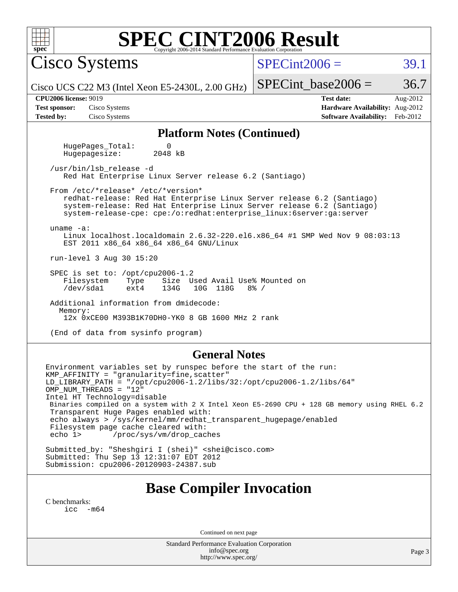| <b>SPEC CINT2006 Result</b><br>$spec^*$<br>Copyright 2006-2014 Standard Performance Evaluation Corporation                                                                                                                                                                                                                                                                                                                                                                                           |                                                                                                               |  |  |  |  |  |
|------------------------------------------------------------------------------------------------------------------------------------------------------------------------------------------------------------------------------------------------------------------------------------------------------------------------------------------------------------------------------------------------------------------------------------------------------------------------------------------------------|---------------------------------------------------------------------------------------------------------------|--|--|--|--|--|
| Cisco Systems                                                                                                                                                                                                                                                                                                                                                                                                                                                                                        | $SPECint2006 =$<br>39.1                                                                                       |  |  |  |  |  |
| Cisco UCS C22 M3 (Intel Xeon E5-2430L, $2.00$ GHz)                                                                                                                                                                                                                                                                                                                                                                                                                                                   | $SPECint base2006 =$<br>36.7                                                                                  |  |  |  |  |  |
| <b>CPU2006 license: 9019</b><br><b>Test sponsor:</b><br>Cisco Systems<br><b>Tested by:</b><br>Cisco Systems                                                                                                                                                                                                                                                                                                                                                                                          | <b>Test date:</b><br>Aug-2012<br>Hardware Availability: Aug-2012<br><b>Software Availability:</b><br>Feb-2012 |  |  |  |  |  |
| <b>Platform Notes (Continued)</b>                                                                                                                                                                                                                                                                                                                                                                                                                                                                    |                                                                                                               |  |  |  |  |  |
| HugePages_Total:<br>$\Omega$<br>Hugepagesize:<br>2048 kB                                                                                                                                                                                                                                                                                                                                                                                                                                             |                                                                                                               |  |  |  |  |  |
| /usr/bin/lsb_release -d<br>Red Hat Enterprise Linux Server release 6.2 (Santiago)                                                                                                                                                                                                                                                                                                                                                                                                                    |                                                                                                               |  |  |  |  |  |
| From /etc/*release* /etc/*version*<br>redhat-release: Red Hat Enterprise Linux Server release 6.2 (Santiago)<br>system-release: Red Hat Enterprise Linux Server release 6.2 (Santiago)<br>system-release-cpe: cpe:/o:redhat:enterprise_linux:6server:ga:server<br>uname $-a$ :<br>Linux localhost.localdomain 2.6.32-220.el6.x86_64 #1 SMP Wed Nov 9 08:03:13                                                                                                                                        |                                                                                                               |  |  |  |  |  |
| EST 2011 x86_64 x86_64 x86_64 GNU/Linux                                                                                                                                                                                                                                                                                                                                                                                                                                                              |                                                                                                               |  |  |  |  |  |
| run-level 3 Aug 30 15:20<br>SPEC is set to: /opt/cpu2006-1.2<br>Size Used Avail Use% Mounted on<br>Filesystem<br>Type                                                                                                                                                                                                                                                                                                                                                                                |                                                                                                               |  |  |  |  |  |
| /dev/sda1<br>ext4<br>134G<br>10G 118G<br>Additional information from dmidecode:                                                                                                                                                                                                                                                                                                                                                                                                                      | $8\frac{6}{9}$ /                                                                                              |  |  |  |  |  |
| Memory:<br>12x 0xCE00 M393B1K70DH0-YK0 8 GB 1600 MHz 2 rank                                                                                                                                                                                                                                                                                                                                                                                                                                          |                                                                                                               |  |  |  |  |  |
| (End of data from sysinfo program)                                                                                                                                                                                                                                                                                                                                                                                                                                                                   |                                                                                                               |  |  |  |  |  |
| <b>General Notes</b>                                                                                                                                                                                                                                                                                                                                                                                                                                                                                 |                                                                                                               |  |  |  |  |  |
| Environment variables set by runspec before the start of the run:<br>KMP AFFINITY = "granularity=fine, scatter"<br>LD LIBRARY PATH = "/opt/cpu2006-1.2/libs/32:/opt/cpu2006-1.2/libs/64"<br>OMP_NUM_THREADS = "12"<br>Intel HT Technology=disable<br>Binaries compiled on a system with 2 X Intel Xeon E5-2690 CPU + 128 GB memory using RHEL 6.2<br>Transparent Huge Pages enabled with:<br>echo always > /sys/kernel/mm/redhat_transparent_hugepage/enabled<br>Filesystem page cache cleared with: |                                                                                                               |  |  |  |  |  |

echo 1> /proc/sys/vm/drop\_caches

Submitted\_by: "Sheshgiri I (shei)" <shei@cisco.com> Submitted: Thu Sep 13 12:31:07 EDT 2012 Submission: cpu2006-20120903-24387.sub

## **[Base Compiler Invocation](http://www.spec.org/auto/cpu2006/Docs/result-fields.html#BaseCompilerInvocation)**

[C benchmarks](http://www.spec.org/auto/cpu2006/Docs/result-fields.html#Cbenchmarks): [icc -m64](http://www.spec.org/cpu2006/results/res2012q3/cpu2006-20120903-24387.flags.html#user_CCbase_intel_icc_64bit_f346026e86af2a669e726fe758c88044)

Continued on next page

Standard Performance Evaluation Corporation [info@spec.org](mailto:info@spec.org) <http://www.spec.org/>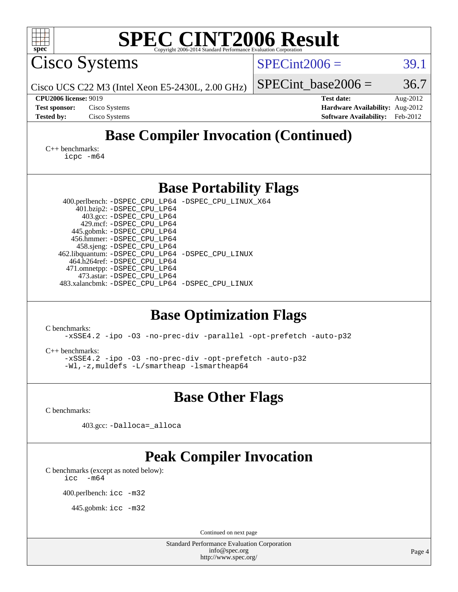| <b>SPEC CINT2006 Result</b><br>spec <sup>®</sup><br>Copyright 2006-2014 Standard Performance Evaluation Corporation                                                                                                                                 |                                           |  |  |  |  |
|-----------------------------------------------------------------------------------------------------------------------------------------------------------------------------------------------------------------------------------------------------|-------------------------------------------|--|--|--|--|
| <b>Cisco Systems</b>                                                                                                                                                                                                                                | $SPECint2006 =$<br>39.1                   |  |  |  |  |
| Cisco UCS C22 M3 (Intel Xeon E5-2430L, $2.00$ GHz)                                                                                                                                                                                                  | 36.7<br>$SPECint$ base2006 =              |  |  |  |  |
| <b>CPU2006 license: 9019</b>                                                                                                                                                                                                                        | <b>Test date:</b><br>Aug-2012             |  |  |  |  |
| Cisco Systems<br><b>Test sponsor:</b>                                                                                                                                                                                                               | Hardware Availability: Aug-2012           |  |  |  |  |
| <b>Tested by:</b><br>Cisco Systems                                                                                                                                                                                                                  | <b>Software Availability:</b><br>Feb-2012 |  |  |  |  |
| <b>Base Compiler Invocation (Continued)</b><br>$C_{++}$ benchmarks:<br>icpc -m64                                                                                                                                                                    |                                           |  |  |  |  |
| <b>Base Portability Flags</b>                                                                                                                                                                                                                       |                                           |  |  |  |  |
| 400.perlbench: -DSPEC_CPU_LP64 -DSPEC_CPU_LINUX_X64                                                                                                                                                                                                 |                                           |  |  |  |  |
| 401.bzip2: -DSPEC_CPU_LP64                                                                                                                                                                                                                          |                                           |  |  |  |  |
| 403.gcc: -DSPEC_CPU_LP64<br>429.mcf: -DSPEC_CPU_LP64                                                                                                                                                                                                |                                           |  |  |  |  |
| 445.gobmk: -DSPEC_CPU_LP64                                                                                                                                                                                                                          |                                           |  |  |  |  |
| 456.hmmer: - DSPEC_CPU_LP64<br>458.sjeng: -DSPEC_CPU_LP64                                                                                                                                                                                           |                                           |  |  |  |  |
| 462.libquantum: -DSPEC_CPU_LP64 -DSPEC_CPU_LINUX                                                                                                                                                                                                    |                                           |  |  |  |  |
| 464.h264ref: -DSPEC_CPU_LP64                                                                                                                                                                                                                        |                                           |  |  |  |  |
| 471.omnetpp: -DSPEC_CPU_LP64<br>473.astar: -DSPEC_CPU_LP64                                                                                                                                                                                          |                                           |  |  |  |  |
| 483.xalancbmk: -DSPEC_CPU_LP64 -DSPEC_CPU_LINUX                                                                                                                                                                                                     |                                           |  |  |  |  |
|                                                                                                                                                                                                                                                     |                                           |  |  |  |  |
| <b>Base Optimization Flags</b><br>C benchmarks:<br>-xSSE4.2 -ipo -03 -no-prec-div -parallel -opt-prefetch -auto-p32<br>$C_{++}$ benchmarks:<br>-xSSE4.2 -ipo -03 -no-prec-div -opt-prefetch -auto-p32<br>-Wl,-z, muldefs -L/smartheap -lsmartheap64 |                                           |  |  |  |  |
| <b>Base Other Flags</b>                                                                                                                                                                                                                             |                                           |  |  |  |  |
| C benchmarks:                                                                                                                                                                                                                                       |                                           |  |  |  |  |
| 403.gcc: -Dalloca=_alloca                                                                                                                                                                                                                           |                                           |  |  |  |  |
| <b>Peak Compiler Invocation</b>                                                                                                                                                                                                                     |                                           |  |  |  |  |
| C benchmarks (except as noted below):<br>$-m64$<br>icc                                                                                                                                                                                              |                                           |  |  |  |  |
| 400.perlbench: icc -m32                                                                                                                                                                                                                             |                                           |  |  |  |  |
| 445.gobmk: $\text{icc}$ -m32                                                                                                                                                                                                                        |                                           |  |  |  |  |
| Continued on next page                                                                                                                                                                                                                              |                                           |  |  |  |  |
| Standard Performance Evaluation Corporation                                                                                                                                                                                                         |                                           |  |  |  |  |
| info@spec.org<br>http://www.spec.org/                                                                                                                                                                                                               | Page 4                                    |  |  |  |  |
|                                                                                                                                                                                                                                                     |                                           |  |  |  |  |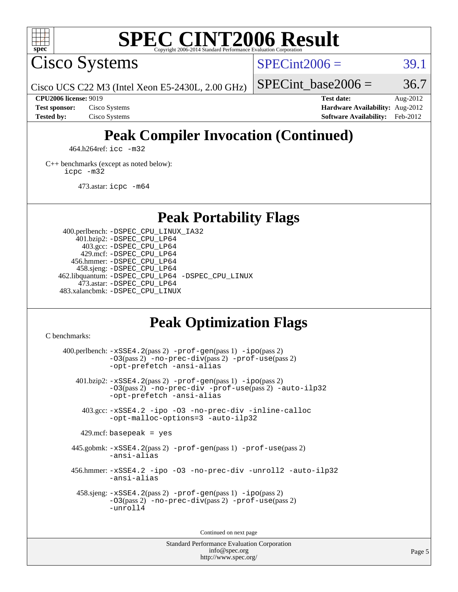

## **[SPEC CINT2006 Result](http://www.spec.org/auto/cpu2006/Docs/result-fields.html#SPECCINT2006Result)**

Cisco Systems

 $SPECint2006 = 39.1$  $SPECint2006 = 39.1$ 

Cisco UCS C22 M3 (Intel Xeon E5-2430L, 2.00 GHz)

SPECint base2006 =  $36.7$ 

**[CPU2006 license:](http://www.spec.org/auto/cpu2006/Docs/result-fields.html#CPU2006license)** 9019 **[Test date:](http://www.spec.org/auto/cpu2006/Docs/result-fields.html#Testdate)** Aug-2012 **[Test sponsor:](http://www.spec.org/auto/cpu2006/Docs/result-fields.html#Testsponsor)** Cisco Systems **[Hardware Availability:](http://www.spec.org/auto/cpu2006/Docs/result-fields.html#HardwareAvailability)** Aug-2012 **[Tested by:](http://www.spec.org/auto/cpu2006/Docs/result-fields.html#Testedby)** Cisco Systems **[Software Availability:](http://www.spec.org/auto/cpu2006/Docs/result-fields.html#SoftwareAvailability)** Feb-2012

## **[Peak Compiler Invocation \(Continued\)](http://www.spec.org/auto/cpu2006/Docs/result-fields.html#PeakCompilerInvocation)**

464.h264ref: [icc -m32](http://www.spec.org/cpu2006/results/res2012q3/cpu2006-20120903-24387.flags.html#user_peakCCLD464_h264ref_intel_icc_a6a621f8d50482236b970c6ac5f55f93)

[C++ benchmarks \(except as noted below\):](http://www.spec.org/auto/cpu2006/Docs/result-fields.html#CXXbenchmarksexceptasnotedbelow) [icpc -m32](http://www.spec.org/cpu2006/results/res2012q3/cpu2006-20120903-24387.flags.html#user_CXXpeak_intel_icpc_4e5a5ef1a53fd332b3c49e69c3330699)

473.astar: [icpc -m64](http://www.spec.org/cpu2006/results/res2012q3/cpu2006-20120903-24387.flags.html#user_peakCXXLD473_astar_intel_icpc_64bit_fc66a5337ce925472a5c54ad6a0de310)

**[Peak Portability Flags](http://www.spec.org/auto/cpu2006/Docs/result-fields.html#PeakPortabilityFlags)**

 400.perlbench: [-DSPEC\\_CPU\\_LINUX\\_IA32](http://www.spec.org/cpu2006/results/res2012q3/cpu2006-20120903-24387.flags.html#b400.perlbench_peakCPORTABILITY_DSPEC_CPU_LINUX_IA32) 401.bzip2: [-DSPEC\\_CPU\\_LP64](http://www.spec.org/cpu2006/results/res2012q3/cpu2006-20120903-24387.flags.html#suite_peakPORTABILITY401_bzip2_DSPEC_CPU_LP64) 403.gcc: [-DSPEC\\_CPU\\_LP64](http://www.spec.org/cpu2006/results/res2012q3/cpu2006-20120903-24387.flags.html#suite_peakPORTABILITY403_gcc_DSPEC_CPU_LP64) 429.mcf: [-DSPEC\\_CPU\\_LP64](http://www.spec.org/cpu2006/results/res2012q3/cpu2006-20120903-24387.flags.html#suite_peakPORTABILITY429_mcf_DSPEC_CPU_LP64) 456.hmmer: [-DSPEC\\_CPU\\_LP64](http://www.spec.org/cpu2006/results/res2012q3/cpu2006-20120903-24387.flags.html#suite_peakPORTABILITY456_hmmer_DSPEC_CPU_LP64) 458.sjeng: [-DSPEC\\_CPU\\_LP64](http://www.spec.org/cpu2006/results/res2012q3/cpu2006-20120903-24387.flags.html#suite_peakPORTABILITY458_sjeng_DSPEC_CPU_LP64) 462.libquantum: [-DSPEC\\_CPU\\_LP64](http://www.spec.org/cpu2006/results/res2012q3/cpu2006-20120903-24387.flags.html#suite_peakPORTABILITY462_libquantum_DSPEC_CPU_LP64) [-DSPEC\\_CPU\\_LINUX](http://www.spec.org/cpu2006/results/res2012q3/cpu2006-20120903-24387.flags.html#b462.libquantum_peakCPORTABILITY_DSPEC_CPU_LINUX) 473.astar: [-DSPEC\\_CPU\\_LP64](http://www.spec.org/cpu2006/results/res2012q3/cpu2006-20120903-24387.flags.html#suite_peakPORTABILITY473_astar_DSPEC_CPU_LP64) 483.xalancbmk: [-DSPEC\\_CPU\\_LINUX](http://www.spec.org/cpu2006/results/res2012q3/cpu2006-20120903-24387.flags.html#b483.xalancbmk_peakCXXPORTABILITY_DSPEC_CPU_LINUX)

## **[Peak Optimization Flags](http://www.spec.org/auto/cpu2006/Docs/result-fields.html#PeakOptimizationFlags)**

[C benchmarks](http://www.spec.org/auto/cpu2006/Docs/result-fields.html#Cbenchmarks):

 400.perlbench: [-xSSE4.2](http://www.spec.org/cpu2006/results/res2012q3/cpu2006-20120903-24387.flags.html#user_peakPASS2_CFLAGSPASS2_LDCFLAGS400_perlbench_f-xSSE42_f91528193cf0b216347adb8b939d4107)(pass 2) [-prof-gen](http://www.spec.org/cpu2006/results/res2012q3/cpu2006-20120903-24387.flags.html#user_peakPASS1_CFLAGSPASS1_LDCFLAGS400_perlbench_prof_gen_e43856698f6ca7b7e442dfd80e94a8fc)(pass 1) [-ipo](http://www.spec.org/cpu2006/results/res2012q3/cpu2006-20120903-24387.flags.html#user_peakPASS2_CFLAGSPASS2_LDCFLAGS400_perlbench_f-ipo)(pass 2) [-O3](http://www.spec.org/cpu2006/results/res2012q3/cpu2006-20120903-24387.flags.html#user_peakPASS2_CFLAGSPASS2_LDCFLAGS400_perlbench_f-O3)(pass 2) [-no-prec-div](http://www.spec.org/cpu2006/results/res2012q3/cpu2006-20120903-24387.flags.html#user_peakPASS2_CFLAGSPASS2_LDCFLAGS400_perlbench_f-no-prec-div)(pass 2) [-prof-use](http://www.spec.org/cpu2006/results/res2012q3/cpu2006-20120903-24387.flags.html#user_peakPASS2_CFLAGSPASS2_LDCFLAGS400_perlbench_prof_use_bccf7792157ff70d64e32fe3e1250b55)(pass 2) [-opt-prefetch](http://www.spec.org/cpu2006/results/res2012q3/cpu2006-20120903-24387.flags.html#user_peakCOPTIMIZE400_perlbench_f-opt-prefetch) [-ansi-alias](http://www.spec.org/cpu2006/results/res2012q3/cpu2006-20120903-24387.flags.html#user_peakCOPTIMIZE400_perlbench_f-ansi-alias) 401.bzip2: [-xSSE4.2](http://www.spec.org/cpu2006/results/res2012q3/cpu2006-20120903-24387.flags.html#user_peakPASS2_CFLAGSPASS2_LDCFLAGS401_bzip2_f-xSSE42_f91528193cf0b216347adb8b939d4107)(pass 2) [-prof-gen](http://www.spec.org/cpu2006/results/res2012q3/cpu2006-20120903-24387.flags.html#user_peakPASS1_CFLAGSPASS1_LDCFLAGS401_bzip2_prof_gen_e43856698f6ca7b7e442dfd80e94a8fc)(pass 1) [-ipo](http://www.spec.org/cpu2006/results/res2012q3/cpu2006-20120903-24387.flags.html#user_peakPASS2_CFLAGSPASS2_LDCFLAGS401_bzip2_f-ipo)(pass 2) [-O3](http://www.spec.org/cpu2006/results/res2012q3/cpu2006-20120903-24387.flags.html#user_peakPASS2_CFLAGSPASS2_LDCFLAGS401_bzip2_f-O3)(pass 2) [-no-prec-div](http://www.spec.org/cpu2006/results/res2012q3/cpu2006-20120903-24387.flags.html#user_peakCOPTIMIZEPASS2_CFLAGSPASS2_LDCFLAGS401_bzip2_f-no-prec-div) [-prof-use](http://www.spec.org/cpu2006/results/res2012q3/cpu2006-20120903-24387.flags.html#user_peakPASS2_CFLAGSPASS2_LDCFLAGS401_bzip2_prof_use_bccf7792157ff70d64e32fe3e1250b55)(pass 2) [-auto-ilp32](http://www.spec.org/cpu2006/results/res2012q3/cpu2006-20120903-24387.flags.html#user_peakCOPTIMIZE401_bzip2_f-auto-ilp32) [-opt-prefetch](http://www.spec.org/cpu2006/results/res2012q3/cpu2006-20120903-24387.flags.html#user_peakCOPTIMIZE401_bzip2_f-opt-prefetch) [-ansi-alias](http://www.spec.org/cpu2006/results/res2012q3/cpu2006-20120903-24387.flags.html#user_peakCOPTIMIZE401_bzip2_f-ansi-alias) 403.gcc: [-xSSE4.2](http://www.spec.org/cpu2006/results/res2012q3/cpu2006-20120903-24387.flags.html#user_peakCOPTIMIZE403_gcc_f-xSSE42_f91528193cf0b216347adb8b939d4107) [-ipo](http://www.spec.org/cpu2006/results/res2012q3/cpu2006-20120903-24387.flags.html#user_peakCOPTIMIZE403_gcc_f-ipo) [-O3](http://www.spec.org/cpu2006/results/res2012q3/cpu2006-20120903-24387.flags.html#user_peakCOPTIMIZE403_gcc_f-O3) [-no-prec-div](http://www.spec.org/cpu2006/results/res2012q3/cpu2006-20120903-24387.flags.html#user_peakCOPTIMIZE403_gcc_f-no-prec-div) [-inline-calloc](http://www.spec.org/cpu2006/results/res2012q3/cpu2006-20120903-24387.flags.html#user_peakCOPTIMIZE403_gcc_f-inline-calloc) [-opt-malloc-options=3](http://www.spec.org/cpu2006/results/res2012q3/cpu2006-20120903-24387.flags.html#user_peakCOPTIMIZE403_gcc_f-opt-malloc-options_13ab9b803cf986b4ee62f0a5998c2238) [-auto-ilp32](http://www.spec.org/cpu2006/results/res2012q3/cpu2006-20120903-24387.flags.html#user_peakCOPTIMIZE403_gcc_f-auto-ilp32)  $429$ .mcf: basepeak = yes 445.gobmk: [-xSSE4.2](http://www.spec.org/cpu2006/results/res2012q3/cpu2006-20120903-24387.flags.html#user_peakPASS2_CFLAGSPASS2_LDCFLAGS445_gobmk_f-xSSE42_f91528193cf0b216347adb8b939d4107)(pass 2) [-prof-gen](http://www.spec.org/cpu2006/results/res2012q3/cpu2006-20120903-24387.flags.html#user_peakPASS1_CFLAGSPASS1_LDCFLAGS445_gobmk_prof_gen_e43856698f6ca7b7e442dfd80e94a8fc)(pass 1) [-prof-use](http://www.spec.org/cpu2006/results/res2012q3/cpu2006-20120903-24387.flags.html#user_peakPASS2_CFLAGSPASS2_LDCFLAGS445_gobmk_prof_use_bccf7792157ff70d64e32fe3e1250b55)(pass 2) [-ansi-alias](http://www.spec.org/cpu2006/results/res2012q3/cpu2006-20120903-24387.flags.html#user_peakCOPTIMIZE445_gobmk_f-ansi-alias) 456.hmmer: [-xSSE4.2](http://www.spec.org/cpu2006/results/res2012q3/cpu2006-20120903-24387.flags.html#user_peakCOPTIMIZE456_hmmer_f-xSSE42_f91528193cf0b216347adb8b939d4107) [-ipo](http://www.spec.org/cpu2006/results/res2012q3/cpu2006-20120903-24387.flags.html#user_peakCOPTIMIZE456_hmmer_f-ipo) [-O3](http://www.spec.org/cpu2006/results/res2012q3/cpu2006-20120903-24387.flags.html#user_peakCOPTIMIZE456_hmmer_f-O3) [-no-prec-div](http://www.spec.org/cpu2006/results/res2012q3/cpu2006-20120903-24387.flags.html#user_peakCOPTIMIZE456_hmmer_f-no-prec-div) [-unroll2](http://www.spec.org/cpu2006/results/res2012q3/cpu2006-20120903-24387.flags.html#user_peakCOPTIMIZE456_hmmer_f-unroll_784dae83bebfb236979b41d2422d7ec2) [-auto-ilp32](http://www.spec.org/cpu2006/results/res2012q3/cpu2006-20120903-24387.flags.html#user_peakCOPTIMIZE456_hmmer_f-auto-ilp32) [-ansi-alias](http://www.spec.org/cpu2006/results/res2012q3/cpu2006-20120903-24387.flags.html#user_peakCOPTIMIZE456_hmmer_f-ansi-alias) 458.sjeng: [-xSSE4.2](http://www.spec.org/cpu2006/results/res2012q3/cpu2006-20120903-24387.flags.html#user_peakPASS2_CFLAGSPASS2_LDCFLAGS458_sjeng_f-xSSE42_f91528193cf0b216347adb8b939d4107)(pass 2) [-prof-gen](http://www.spec.org/cpu2006/results/res2012q3/cpu2006-20120903-24387.flags.html#user_peakPASS1_CFLAGSPASS1_LDCFLAGS458_sjeng_prof_gen_e43856698f6ca7b7e442dfd80e94a8fc)(pass 1) [-ipo](http://www.spec.org/cpu2006/results/res2012q3/cpu2006-20120903-24387.flags.html#user_peakPASS2_CFLAGSPASS2_LDCFLAGS458_sjeng_f-ipo)(pass 2) [-O3](http://www.spec.org/cpu2006/results/res2012q3/cpu2006-20120903-24387.flags.html#user_peakPASS2_CFLAGSPASS2_LDCFLAGS458_sjeng_f-O3)(pass 2) [-no-prec-div](http://www.spec.org/cpu2006/results/res2012q3/cpu2006-20120903-24387.flags.html#user_peakPASS2_CFLAGSPASS2_LDCFLAGS458_sjeng_f-no-prec-div)(pass 2) [-prof-use](http://www.spec.org/cpu2006/results/res2012q3/cpu2006-20120903-24387.flags.html#user_peakPASS2_CFLAGSPASS2_LDCFLAGS458_sjeng_prof_use_bccf7792157ff70d64e32fe3e1250b55)(pass 2) [-unroll4](http://www.spec.org/cpu2006/results/res2012q3/cpu2006-20120903-24387.flags.html#user_peakCOPTIMIZE458_sjeng_f-unroll_4e5e4ed65b7fd20bdcd365bec371b81f)

Continued on next page

Standard Performance Evaluation Corporation [info@spec.org](mailto:info@spec.org) <http://www.spec.org/>